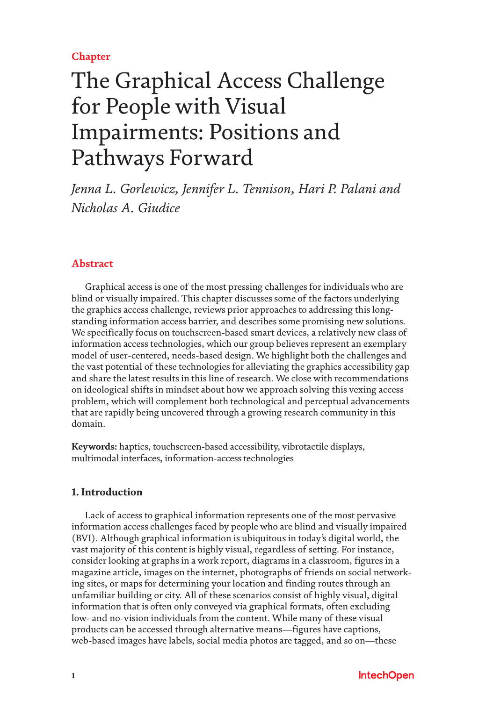# **Chapter**

# The Graphical Access Challenge for People with Visual Impairments: Positions and Pathways Forward

*Jenna L. Gorlewicz, Jennifer L. Tennison, Hari P. Palani and Nicholas A. Giudice*

# **Abstract**

Graphical access is one of the most pressing challenges for individuals who are blind or visually impaired. This chapter discusses some of the factors underlying the graphics access challenge, reviews prior approaches to addressing this longstanding information access barrier, and describes some promising new solutions. We specifically focus on touchscreen-based smart devices, a relatively new class of information access technologies, which our group believes represent an exemplary model of user-centered, needs-based design. We highlight both the challenges and the vast potential of these technologies for alleviating the graphics accessibility gap and share the latest results in this line of research. We close with recommendations on ideological shifts in mindset about how we approach solving this vexing access problem, which will complement both technological and perceptual advancements that are rapidly being uncovered through a growing research community in this domain.

**Keywords:** haptics, touchscreen-based accessibility, vibrotactile displays, multimodal interfaces, information-access technologies

# **1. Introduction**

Lack of access to graphical information represents one of the most pervasive information access challenges faced by people who are blind and visually impaired (BVI). Although graphical information is ubiquitous in today's digital world, the vast majority of this content is highly visual, regardless of setting. For instance, consider looking at graphs in a work report, diagrams in a classroom, figures in a magazine article, images on the internet, photographs of friends on social networking sites, or maps for determining your location and finding routes through an unfamiliar building or city. All of these scenarios consist of highly visual, digital information that is often only conveyed via graphical formats, often excluding low- and no-vision individuals from the content. While many of these visual products can be accessed through alternative means—figures have captions, web-based images have labels, social media photos are tagged, and so on—these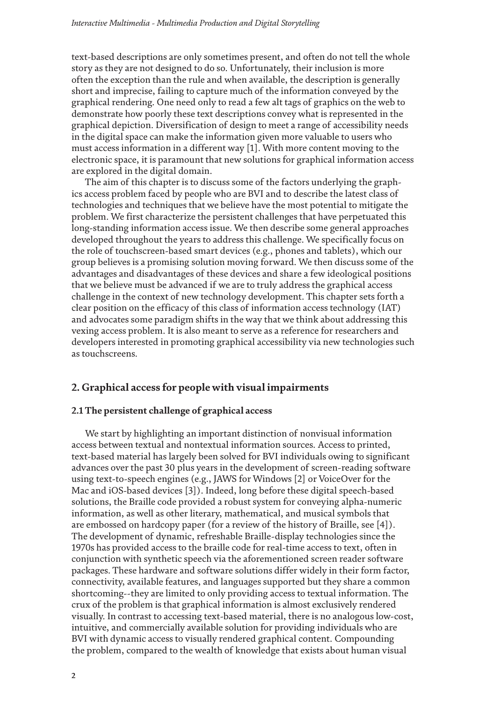text-based descriptions are only sometimes present, and often do not tell the whole story as they are not designed to do so. Unfortunately, their inclusion is more often the exception than the rule and when available, the description is generally short and imprecise, failing to capture much of the information conveyed by the graphical rendering. One need only to read a few alt tags of graphics on the web to demonstrate how poorly these text descriptions convey what is represented in the graphical depiction. Diversification of design to meet a range of accessibility needs in the digital space can make the information given more valuable to users who must access information in a different way [\[1\]](#page-12-0). With more content moving to the electronic space, it is paramount that new solutions for graphical information access are explored in the digital domain.

The aim of this chapter is to discuss some of the factors underlying the graphics access problem faced by people who are BVI and to describe the latest class of technologies and techniques that we believe have the most potential to mitigate the problem. We first characterize the persistent challenges that have perpetuated this long-standing information access issue. We then describe some general approaches developed throughout the years to address this challenge. We specifically focus on the role of touchscreen-based smart devices (e.g., phones and tablets), which our group believes is a promising solution moving forward. We then discuss some of the advantages and disadvantages of these devices and share a few ideological positions that we believe must be advanced if we are to truly address the graphical access challenge in the context of new technology development. This chapter sets forth a clear position on the efficacy of this class of information access technology (IAT) and advocates some paradigm shifts in the way that we think about addressing this vexing access problem. It is also meant to serve as a reference for researchers and developers interested in promoting graphical accessibility via new technologies such as touchscreens.

# **2. Graphical access for people with visual impairments**

## **2.1 The persistent challenge of graphical access**

We start by highlighting an important distinction of nonvisual information access between textual and nontextual information sources. Access to printed, text-based material has largely been solved for BVI individuals owing to significant advances over the past 30 plus years in the development of screen-reading software using text-to-speech engines (e.g., JAWS for Windows [\[2](#page-12-1)] or VoiceOver for the Mac and iOS-based devices [[3](#page-12-2)]). Indeed, long before these digital speech-based solutions, the Braille code provided a robust system for conveying alpha-numeric information, as well as other literary, mathematical, and musical symbols that are embossed on hardcopy paper (for a review of the history of Braille, see [\[4](#page-12-3)]). The development of dynamic, refreshable Braille-display technologies since the 1970s has provided access to the braille code for real-time access to text, often in conjunction with synthetic speech via the aforementioned screen reader software packages. These hardware and software solutions differ widely in their form factor, connectivity, available features, and languages supported but they share a common shortcoming--they are limited to only providing access to textual information. The crux of the problem is that graphical information is almost exclusively rendered visually. In contrast to accessing text-based material, there is no analogous low-cost, intuitive, and commercially available solution for providing individuals who are BVI with dynamic access to visually rendered graphical content. Compounding the problem, compared to the wealth of knowledge that exists about human visual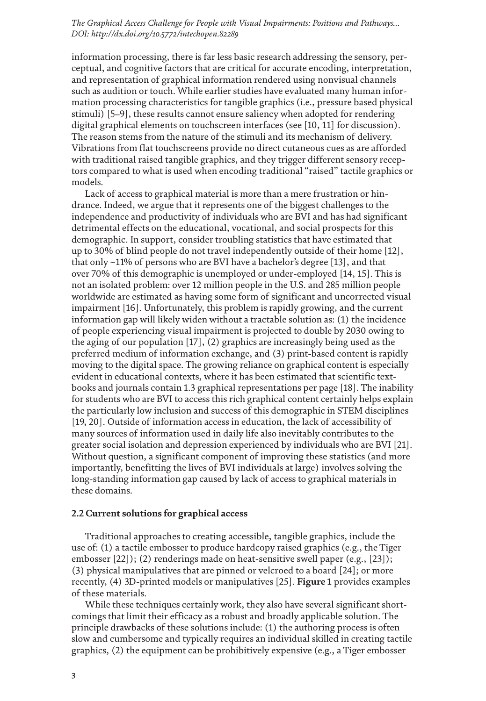information processing, there is far less basic research addressing the sensory, perceptual, and cognitive factors that are critical for accurate encoding, interpretation, and representation of graphical information rendered using nonvisual channels such as audition or touch. While earlier studies have evaluated many human information processing characteristics for tangible graphics (i.e., pressure based physical stimuli) [\[5–](#page-12-4)[9\]](#page-12-5), these results cannot ensure saliency when adopted for rendering digital graphical elements on touchscreen interfaces (see [\[10](#page-12-6), [11](#page-12-7)] for discussion). The reason stems from the nature of the stimuli and its mechanism of delivery. Vibrations from flat touchscreens provide no direct cutaneous cues as are afforded with traditional raised tangible graphics, and they trigger different sensory receptors compared to what is used when encoding traditional "raised" tactile graphics or models.

Lack of access to graphical material is more than a mere frustration or hindrance. Indeed, we argue that it represents one of the biggest challenges to the independence and productivity of individuals who are BVI and has had significant detrimental effects on the educational, vocational, and social prospects for this demographic. In support, consider troubling statistics that have estimated that up to 30% of blind people do not travel independently outside of their home [\[12\]](#page-12-8), that only ~11% of persons who are BVI have a bachelor's degree [[13\]](#page-12-9), and that over 70% of this demographic is unemployed or under-employed [\[14](#page-12-10), [15\]](#page-12-11). This is not an isolated problem: over 12 million people in the U.S. and 285 million people worldwide are estimated as having some form of significant and uncorrected visual impairment [\[16\]](#page-12-12). Unfortunately, this problem is rapidly growing, and the current information gap will likely widen without a tractable solution as: (1) the incidence of people experiencing visual impairment is projected to double by 2030 owing to the aging of our population [[17\]](#page-12-13), (2) graphics are increasingly being used as the preferred medium of information exchange, and (3) print-based content is rapidly moving to the digital space. The growing reliance on graphical content is especially evident in educational contexts, where it has been estimated that scientific textbooks and journals contain 1.3 graphical representations per page [\[18](#page-12-14)]. The inability for students who are BVI to access this rich graphical content certainly helps explain the particularly low inclusion and success of this demographic in STEM disciplines [\[19](#page-13-0), [20\]](#page-13-1). Outside of information access in education, the lack of accessibility of many sources of information used in daily life also inevitably contributes to the greater social isolation and depression experienced by individuals who are BVI [\[21](#page-13-2)]. Without question, a significant component of improving these statistics (and more importantly, benefitting the lives of BVI individuals at large) involves solving the long-standing information gap caused by lack of access to graphical materials in these domains.

## **2.2 Current solutions for graphical access**

Traditional approaches to creating accessible, tangible graphics, include the use of: (1) a tactile embosser to produce hardcopy raised graphics (e.g., the Tiger embosser [\[22\]](#page-13-3)); (2) renderings made on heat-sensitive swell paper (e.g., [\[23\]](#page-13-4)); (3) physical manipulatives that are pinned or velcroed to a board [[24\]](#page-13-5); or more recently, (4) 3D-printed models or manipulatives [\[25\]](#page-13-6). **[Figure 1](#page-3-0)** provides examples of these materials.

While these techniques certainly work, they also have several significant shortcomings that limit their efficacy as a robust and broadly applicable solution. The principle drawbacks of these solutions include: (1) the authoring process is often slow and cumbersome and typically requires an individual skilled in creating tactile graphics, (2) the equipment can be prohibitively expensive (e.g., a Tiger embosser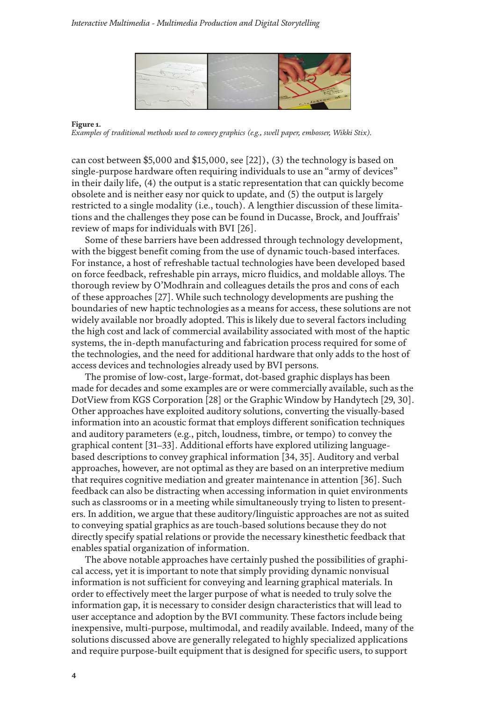<span id="page-3-0"></span>

#### **Figure 1.**

*Examples of traditional methods used to convey graphics (e.g., swell paper, embosser, Wikki Stix).*

can cost between \$5,000 and \$15,000, see [\[22](#page-13-3)]), (3) the technology is based on single-purpose hardware often requiring individuals to use an "army of devices" in their daily life, (4) the output is a static representation that can quickly become obsolete and is neither easy nor quick to update, and (5) the output is largely restricted to a single modality (i.e., touch). A lengthier discussion of these limitations and the challenges they pose can be found in Ducasse, Brock, and Jouffrais' review of maps for individuals with BVI [[26\]](#page-13-7).

Some of these barriers have been addressed through technology development, with the biggest benefit coming from the use of dynamic touch-based interfaces. For instance, a host of refreshable tactual technologies have been developed based on force feedback, refreshable pin arrays, micro fluidics, and moldable alloys. The thorough review by O'Modhrain and colleagues details the pros and cons of each of these approaches [[27\]](#page-13-8). While such technology developments are pushing the boundaries of new haptic technologies as a means for access, these solutions are not widely available nor broadly adopted. This is likely due to several factors including the high cost and lack of commercial availability associated with most of the haptic systems, the in-depth manufacturing and fabrication process required for some of the technologies, and the need for additional hardware that only adds to the host of access devices and technologies already used by BVI persons.

The promise of low-cost, large-format, dot-based graphic displays has been made for decades and some examples are or were commercially available, such as the DotView from KGS Corporation [\[28\]](#page-13-9) or the Graphic Window by Handytech [\[29,](#page-13-10) [30](#page-13-11)]. Other approaches have exploited auditory solutions, converting the visually-based information into an acoustic format that employs different sonification techniques and auditory parameters (e.g., pitch, loudness, timbre, or tempo) to convey the graphical content [[31](#page-13-12)[–33\]](#page-13-13). Additional efforts have explored utilizing languagebased descriptions to convey graphical information [\[34,](#page-13-14) [35](#page-13-15)]. Auditory and verbal approaches, however, are not optimal as they are based on an interpretive medium that requires cognitive mediation and greater maintenance in attention [\[36](#page-14-0)]. Such feedback can also be distracting when accessing information in quiet environments such as classrooms or in a meeting while simultaneously trying to listen to presenters. In addition, we argue that these auditory/linguistic approaches are not as suited to conveying spatial graphics as are touch-based solutions because they do not directly specify spatial relations or provide the necessary kinesthetic feedback that enables spatial organization of information.

The above notable approaches have certainly pushed the possibilities of graphical access, yet it is important to note that simply providing dynamic nonvisual information is not sufficient for conveying and learning graphical materials. In order to effectively meet the larger purpose of what is needed to truly solve the information gap, it is necessary to consider design characteristics that will lead to user acceptance and adoption by the BVI community. These factors include being inexpensive, multi-purpose, multimodal, and readily available. Indeed, many of the solutions discussed above are generally relegated to highly specialized applications and require purpose-built equipment that is designed for specific users, to support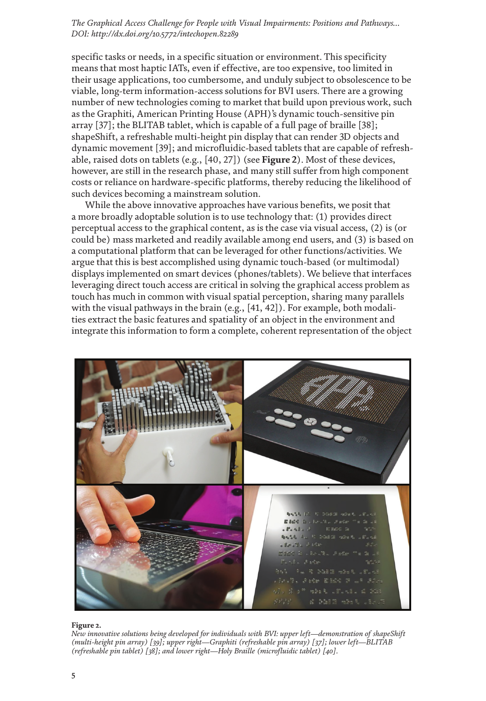specific tasks or needs, in a specific situation or environment. This specificity means that most haptic IATs, even if effective, are too expensive, too limited in their usage applications, too cumbersome, and unduly subject to obsolescence to be viable, long-term information-access solutions for BVI users. There are a growing number of new technologies coming to market that build upon previous work, such as the Graphiti, American Printing House (APH)'s dynamic touch-sensitive pin array [[37](#page-14-1)]; the BLITAB tablet, which is capable of a full page of braille [[38\]](#page-14-2); shapeShift, a refreshable multi-height pin display that can render 3D objects and dynamic movement [[39\]](#page-14-3); and microfluidic-based tablets that are capable of refreshable, raised dots on tablets (e.g., [\[40,](#page-14-4) [27\]](#page-13-8)) (see **[Figure 2](#page-4-0)**). Most of these devices, however, are still in the research phase, and many still suffer from high component costs or reliance on hardware-specific platforms, thereby reducing the likelihood of such devices becoming a mainstream solution.

While the above innovative approaches have various benefits, we posit that a more broadly adoptable solution is to use technology that: (1) provides direct perceptual access to the graphical content, as is the case via visual access, (2) is (or could be) mass marketed and readily available among end users, and (3) is based on a computational platform that can be leveraged for other functions/activities. We argue that this is best accomplished using dynamic touch-based (or multimodal) displays implemented on smart devices (phones/tablets). We believe that interfaces leveraging direct touch access are critical in solving the graphical access problem as touch has much in common with visual spatial perception, sharing many parallels with the visual pathways in the brain (e.g., [\[41,](#page-14-5) [42\]](#page-14-6)). For example, both modalities extract the basic features and spatiality of an object in the environment and integrate this information to form a complete, coherent representation of the object

<span id="page-4-0"></span>

#### **Figure 2.**

*New innovative solutions being developed for individuals with BVI: upper left—demonstration of shapeShift (multi-height pin array) [[39\]](#page-14-3); upper right—Graphiti (refreshable pin array) [\[37](#page-14-1)]; lower left—BLITAB (refreshable pin tablet) [\[38](#page-14-2)]; and lower right—Holy Braille (microfluidic tablet) [\[40](#page-14-4)].*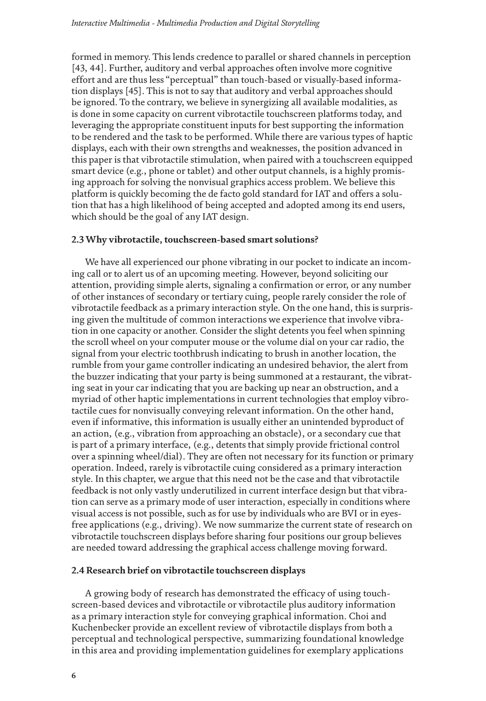formed in memory. This lends credence to parallel or shared channels in perception [\[43,](#page-14-7) [44](#page-14-8)]. Further, auditory and verbal approaches often involve more cognitive effort and are thus less "perceptual" than touch-based or visually-based information displays [\[45](#page-14-9)]. This is not to say that auditory and verbal approaches should be ignored. To the contrary, we believe in synergizing all available modalities, as is done in some capacity on current vibrotactile touchscreen platforms today, and leveraging the appropriate constituent inputs for best supporting the information to be rendered and the task to be performed. While there are various types of haptic displays, each with their own strengths and weaknesses, the position advanced in this paper is that vibrotactile stimulation, when paired with a touchscreen equipped smart device (e.g., phone or tablet) and other output channels, is a highly promising approach for solving the nonvisual graphics access problem. We believe this platform is quickly becoming the de facto gold standard for IAT and offers a solution that has a high likelihood of being accepted and adopted among its end users, which should be the goal of any IAT design.

#### **2.3 Why vibrotactile, touchscreen-based smart solutions?**

We have all experienced our phone vibrating in our pocket to indicate an incoming call or to alert us of an upcoming meeting. However, beyond soliciting our attention, providing simple alerts, signaling a confirmation or error, or any number of other instances of secondary or tertiary cuing, people rarely consider the role of vibrotactile feedback as a primary interaction style. On the one hand, this is surprising given the multitude of common interactions we experience that involve vibration in one capacity or another. Consider the slight detents you feel when spinning the scroll wheel on your computer mouse or the volume dial on your car radio, the signal from your electric toothbrush indicating to brush in another location, the rumble from your game controller indicating an undesired behavior, the alert from the buzzer indicating that your party is being summoned at a restaurant, the vibrating seat in your car indicating that you are backing up near an obstruction, and a myriad of other haptic implementations in current technologies that employ vibrotactile cues for nonvisually conveying relevant information. On the other hand, even if informative, this information is usually either an unintended byproduct of an action, (e.g., vibration from approaching an obstacle), or a secondary cue that is part of a primary interface, (e.g., detents that simply provide frictional control over a spinning wheel/dial). They are often not necessary for its function or primary operation. Indeed, rarely is vibrotactile cuing considered as a primary interaction style. In this chapter, we argue that this need not be the case and that vibrotactile feedback is not only vastly underutilized in current interface design but that vibration can serve as a primary mode of user interaction, especially in conditions where visual access is not possible, such as for use by individuals who are BVI or in eyesfree applications (e.g., driving). We now summarize the current state of research on vibrotactile touchscreen displays before sharing four positions our group believes are needed toward addressing the graphical access challenge moving forward.

#### **2.4 Research brief on vibrotactile touchscreen displays**

A growing body of research has demonstrated the efficacy of using touchscreen-based devices and vibrotactile or vibrotactile plus auditory information as a primary interaction style for conveying graphical information. Choi and Kuchenbecker provide an excellent review of vibrotactile displays from both a perceptual and technological perspective, summarizing foundational knowledge in this area and providing implementation guidelines for exemplary applications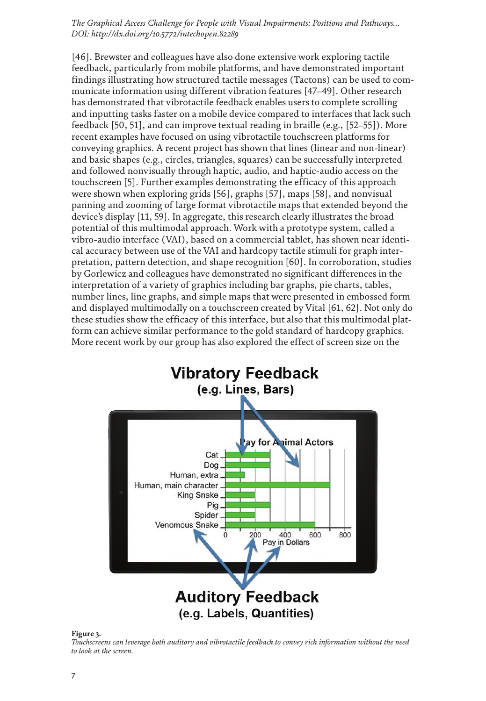[\[46\]](#page-14-10). Brewster and colleagues have also done extensive work exploring tactile feedback, particularly from mobile platforms, and have demonstrated important findings illustrating how structured tactile messages (Tactons) can be used to communicate information using different vibration features [\[47–](#page-14-11)[49](#page-14-12)]. Other research has demonstrated that vibrotactile feedback enables users to complete scrolling and inputting tasks faster on a mobile device compared to interfaces that lack such feedback [\[50,](#page-14-13) [51](#page-15-0)], and can improve textual reading in braille (e.g., [[52](#page-15-1)–[55](#page-15-2)]). More recent examples have focused on using vibrotactile touchscreen platforms for conveying graphics. A recent project has shown that lines (linear and non-linear) and basic shapes (e.g., circles, triangles, squares) can be successfully interpreted and followed nonvisually through haptic, audio, and haptic-audio access on the touchscreen [[5](#page-12-4)]. Further examples demonstrating the efficacy of this approach were shown when exploring grids [\[56\]](#page-15-3), graphs [\[57](#page-15-4)], maps [\[58\]](#page-15-5), and nonvisual panning and zooming of large format vibrotactile maps that extended beyond the device's display [\[11,](#page-12-7) [59\]](#page-15-6). In aggregate, this research clearly illustrates the broad potential of this multimodal approach. Work with a prototype system, called a vibro-audio interface (VAI), based on a commercial tablet, has shown near identical accuracy between use of the VAI and hardcopy tactile stimuli for graph interpretation, pattern detection, and shape recognition [\[60\]](#page-15-7). In corroboration, studies by Gorlewicz and colleagues have demonstrated no significant differences in the interpretation of a variety of graphics including bar graphs, pie charts, tables, number lines, line graphs, and simple maps that were presented in embossed form and displayed multimodally on a touchscreen created by Vital [\[61,](#page-15-8) [62](#page-15-9)]. Not only do these studies show the efficacy of this interface, but also that this multimodal platform can achieve similar performance to the gold standard of hardcopy graphics. More recent work by our group has also explored the effect of screen size on the

<span id="page-6-0"></span>

#### **Figure 3.**

*Touchscreens can leverage both auditory and vibrotactile feedback to convey rich information without the need to look at the screen.*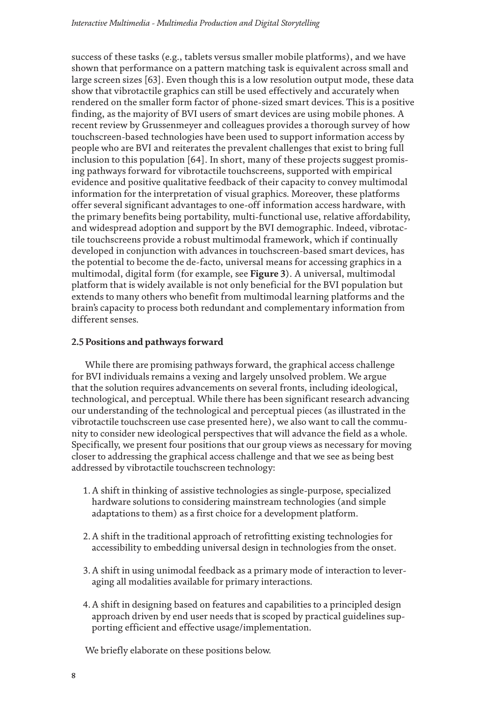success of these tasks (e.g., tablets versus smaller mobile platforms), and we have shown that performance on a pattern matching task is equivalent across small and large screen sizes [\[63](#page-15-10)]. Even though this is a low resolution output mode, these data show that vibrotactile graphics can still be used effectively and accurately when rendered on the smaller form factor of phone-sized smart devices. This is a positive finding, as the majority of BVI users of smart devices are using mobile phones. A recent review by Grussenmeyer and colleagues provides a thorough survey of how touchscreen-based technologies have been used to support information access by people who are BVI and reiterates the prevalent challenges that exist to bring full inclusion to this population [\[64](#page-15-11)]. In short, many of these projects suggest promising pathways forward for vibrotactile touchscreens, supported with empirical evidence and positive qualitative feedback of their capacity to convey multimodal information for the interpretation of visual graphics. Moreover, these platforms offer several significant advantages to one-off information access hardware, with the primary benefits being portability, multi-functional use, relative affordability, and widespread adoption and support by the BVI demographic. Indeed, vibrotactile touchscreens provide a robust multimodal framework, which if continually developed in conjunction with advances in touchscreen-based smart devices, has the potential to become the de-facto, universal means for accessing graphics in a multimodal, digital form (for example, see **[Figure 3](#page-6-0)**). A universal, multimodal platform that is widely available is not only beneficial for the BVI population but extends to many others who benefit from multimodal learning platforms and the brain's capacity to process both redundant and complementary information from different senses.

# **2.5 Positions and pathways forward**

While there are promising pathways forward, the graphical access challenge for BVI individuals remains a vexing and largely unsolved problem. We argue that the solution requires advancements on several fronts, including ideological, technological, and perceptual. While there has been significant research advancing our understanding of the technological and perceptual pieces (as illustrated in the vibrotactile touchscreen use case presented here), we also want to call the community to consider new ideological perspectives that will advance the field as a whole. Specifically, we present four positions that our group views as necessary for moving closer to addressing the graphical access challenge and that we see as being best addressed by vibrotactile touchscreen technology:

- 1.A shift in thinking of assistive technologies as single-purpose, specialized hardware solutions to considering mainstream technologies (and simple adaptations to them) as a first choice for a development platform.
- 2.A shift in the traditional approach of retrofitting existing technologies for accessibility to embedding universal design in technologies from the onset.
- 3.A shift in using unimodal feedback as a primary mode of interaction to leveraging all modalities available for primary interactions.
- 4.A shift in designing based on features and capabilities to a principled design approach driven by end user needs that is scoped by practical guidelines supporting efficient and effective usage/implementation.

We briefly elaborate on these positions below.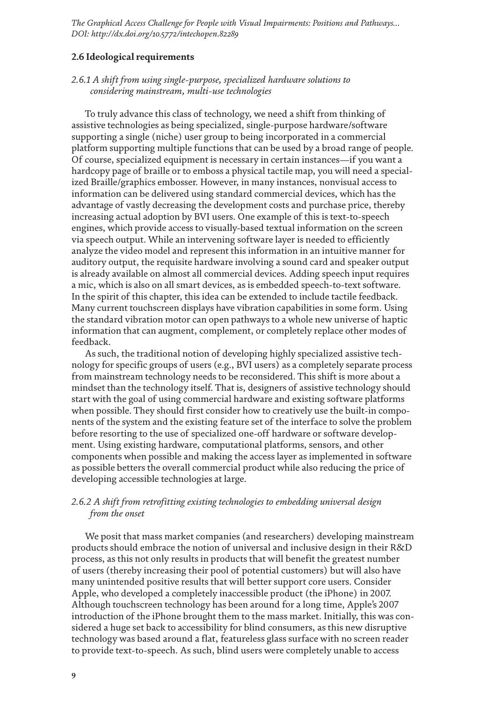## **2.6 Ideological requirements**

# *2.6.1 A shift from using single-purpose, specialized hardware solutions to considering mainstream, multi-use technologies*

To truly advance this class of technology, we need a shift from thinking of assistive technologies as being specialized, single-purpose hardware/software supporting a single (niche) user group to being incorporated in a commercial platform supporting multiple functions that can be used by a broad range of people. Of course, specialized equipment is necessary in certain instances—if you want a hardcopy page of braille or to emboss a physical tactile map, you will need a specialized Braille/graphics embosser. However, in many instances, nonvisual access to information can be delivered using standard commercial devices, which has the advantage of vastly decreasing the development costs and purchase price, thereby increasing actual adoption by BVI users. One example of this is text-to-speech engines, which provide access to visually-based textual information on the screen via speech output. While an intervening software layer is needed to efficiently analyze the video model and represent this information in an intuitive manner for auditory output, the requisite hardware involving a sound card and speaker output is already available on almost all commercial devices. Adding speech input requires a mic, which is also on all smart devices, as is embedded speech-to-text software. In the spirit of this chapter, this idea can be extended to include tactile feedback. Many current touchscreen displays have vibration capabilities in some form. Using the standard vibration motor can open pathways to a whole new universe of haptic information that can augment, complement, or completely replace other modes of feedback.

As such, the traditional notion of developing highly specialized assistive technology for specific groups of users (e.g., BVI users) as a completely separate process from mainstream technology needs to be reconsidered. This shift is more about a mindset than the technology itself. That is, designers of assistive technology should start with the goal of using commercial hardware and existing software platforms when possible. They should first consider how to creatively use the built-in components of the system and the existing feature set of the interface to solve the problem before resorting to the use of specialized one-off hardware or software development. Using existing hardware, computational platforms, sensors, and other components when possible and making the access layer as implemented in software as possible betters the overall commercial product while also reducing the price of developing accessible technologies at large.

# *2.6.2 A shift from retrofitting existing technologies to embedding universal design from the onset*

We posit that mass market companies (and researchers) developing mainstream products should embrace the notion of universal and inclusive design in their R&D process, as this not only results in products that will benefit the greatest number of users (thereby increasing their pool of potential customers) but will also have many unintended positive results that will better support core users. Consider Apple, who developed a completely inaccessible product (the iPhone) in 2007. Although touchscreen technology has been around for a long time, Apple's 2007 introduction of the iPhone brought them to the mass market. Initially, this was considered a huge set back to accessibility for blind consumers, as this new disruptive technology was based around a flat, featureless glass surface with no screen reader to provide text-to-speech. As such, blind users were completely unable to access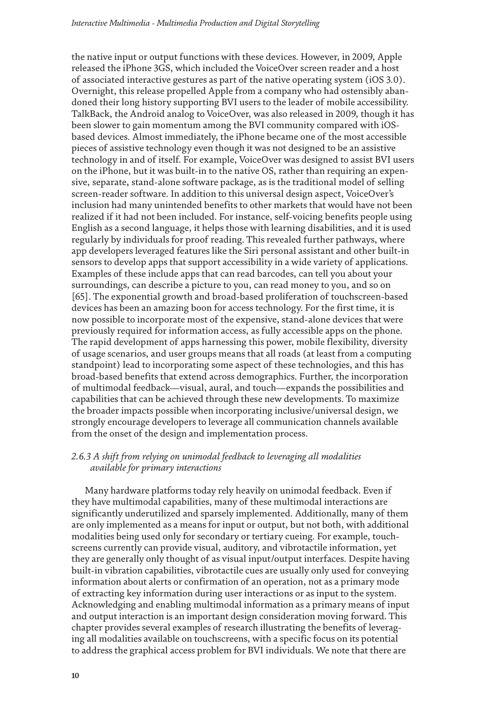the native input or output functions with these devices. However, in 2009, Apple released the iPhone 3GS, which included the VoiceOver screen reader and a host of associated interactive gestures as part of the native operating system (iOS 3.0). Overnight, this release propelled Apple from a company who had ostensibly abandoned their long history supporting BVI users to the leader of mobile accessibility. TalkBack, the Android analog to VoiceOver, was also released in 2009, though it has been slower to gain momentum among the BVI community compared with iOSbased devices. Almost immediately, the iPhone became one of the most accessible pieces of assistive technology even though it was not designed to be an assistive technology in and of itself. For example, VoiceOver was designed to assist BVI users on the iPhone, but it was built-in to the native OS, rather than requiring an expensive, separate, stand-alone software package, as is the traditional model of selling screen-reader software. In addition to this universal design aspect, VoiceOver's inclusion had many unintended benefits to other markets that would have not been realized if it had not been included. For instance, self-voicing benefits people using English as a second language, it helps those with learning disabilities, and it is used regularly by individuals for proof reading. This revealed further pathways, where app developers leveraged features like the Siri personal assistant and other built-in sensors to develop apps that support accessibility in a wide variety of applications. Examples of these include apps that can read barcodes, can tell you about your surroundings, can describe a picture to you, can read money to you, and so on [\[65\]](#page-16-0). The exponential growth and broad-based proliferation of touchscreen-based devices has been an amazing boon for access technology. For the first time, it is now possible to incorporate most of the expensive, stand-alone devices that were previously required for information access, as fully accessible apps on the phone. The rapid development of apps harnessing this power, mobile flexibility, diversity of usage scenarios, and user groups means that all roads (at least from a computing standpoint) lead to incorporating some aspect of these technologies, and this has broad-based benefits that extend across demographics. Further, the incorporation of multimodal feedback—visual, aural, and touch—expands the possibilities and capabilities that can be achieved through these new developments. To maximize the broader impacts possible when incorporating inclusive/universal design, we strongly encourage developers to leverage all communication channels available from the onset of the design and implementation process.

## *2.6.3 A shift from relying on unimodal feedback to leveraging all modalities available for primary interactions*

Many hardware platforms today rely heavily on unimodal feedback. Even if they have multimodal capabilities, many of these multimodal interactions are significantly underutilized and sparsely implemented. Additionally, many of them are only implemented as a means for input or output, but not both, with additional modalities being used only for secondary or tertiary cueing. For example, touchscreens currently can provide visual, auditory, and vibrotactile information, yet they are generally only thought of as visual input/output interfaces. Despite having built-in vibration capabilities, vibrotactile cues are usually only used for conveying information about alerts or confirmation of an operation, not as a primary mode of extracting key information during user interactions or as input to the system. Acknowledging and enabling multimodal information as a primary means of input and output interaction is an important design consideration moving forward. This chapter provides several examples of research illustrating the benefits of leveraging all modalities available on touchscreens, with a specific focus on its potential to address the graphical access problem for BVI individuals. We note that there are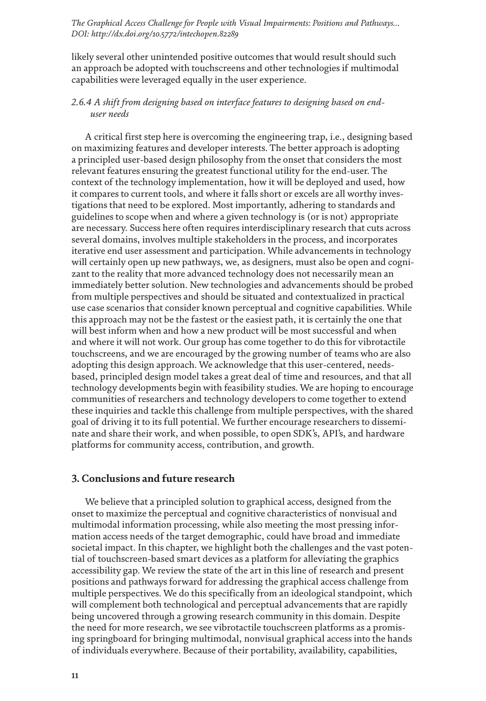likely several other unintended positive outcomes that would result should such an approach be adopted with touchscreens and other technologies if multimodal capabilities were leveraged equally in the user experience.

# *2.6.4 A shift from designing based on interface features to designing based on enduser needs*

A critical first step here is overcoming the engineering trap, i.e., designing based on maximizing features and developer interests. The better approach is adopting a principled user-based design philosophy from the onset that considers the most relevant features ensuring the greatest functional utility for the end-user. The context of the technology implementation, how it will be deployed and used, how it compares to current tools, and where it falls short or excels are all worthy investigations that need to be explored. Most importantly, adhering to standards and guidelines to scope when and where a given technology is (or is not) appropriate are necessary. Success here often requires interdisciplinary research that cuts across several domains, involves multiple stakeholders in the process, and incorporates iterative end user assessment and participation. While advancements in technology will certainly open up new pathways, we, as designers, must also be open and cognizant to the reality that more advanced technology does not necessarily mean an immediately better solution. New technologies and advancements should be probed from multiple perspectives and should be situated and contextualized in practical use case scenarios that consider known perceptual and cognitive capabilities. While this approach may not be the fastest or the easiest path, it is certainly the one that will best inform when and how a new product will be most successful and when and where it will not work. Our group has come together to do this for vibrotactile touchscreens, and we are encouraged by the growing number of teams who are also adopting this design approach. We acknowledge that this user-centered, needsbased, principled design model takes a great deal of time and resources, and that all technology developments begin with feasibility studies. We are hoping to encourage communities of researchers and technology developers to come together to extend these inquiries and tackle this challenge from multiple perspectives, with the shared goal of driving it to its full potential. We further encourage researchers to disseminate and share their work, and when possible, to open SDK's, API's, and hardware platforms for community access, contribution, and growth.

# **3. Conclusions and future research**

We believe that a principled solution to graphical access, designed from the onset to maximize the perceptual and cognitive characteristics of nonvisual and multimodal information processing, while also meeting the most pressing information access needs of the target demographic, could have broad and immediate societal impact. In this chapter, we highlight both the challenges and the vast potential of touchscreen-based smart devices as a platform for alleviating the graphics accessibility gap. We review the state of the art in this line of research and present positions and pathways forward for addressing the graphical access challenge from multiple perspectives. We do this specifically from an ideological standpoint, which will complement both technological and perceptual advancements that are rapidly being uncovered through a growing research community in this domain. Despite the need for more research, we see vibrotactile touchscreen platforms as a promising springboard for bringing multimodal, nonvisual graphical access into the hands of individuals everywhere. Because of their portability, availability, capabilities,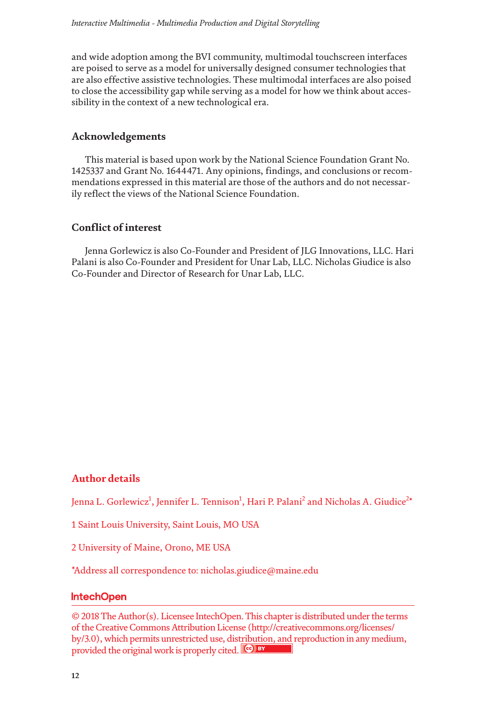and wide adoption among the BVI community, multimodal touchscreen interfaces are poised to serve as a model for universally designed consumer technologies that are also effective assistive technologies. These multimodal interfaces are also poised to close the accessibility gap while serving as a model for how we think about accessibility in the context of a new technological era.

# **Acknowledgements**

This material is based upon work by the National Science Foundation Grant No. 1425337 and Grant No. 1644471. Any opinions, findings, and conclusions or recommendations expressed in this material are those of the authors and do not necessarily reflect the views of the National Science Foundation.

# **Conflict of interest**

Jenna Gorlewicz is also Co-Founder and President of JLG Innovations, LLC. Hari Palani is also Co-Founder and President for Unar Lab, LLC. Nicholas Giudice is also Co-Founder and Director of Research for Unar Lab, LLC.

# **Author details**

Jenna L. Gorlewicz $^1$ , Jennifer L. Tennison $^1$ , Hari P. Palani $^2$  and Nicholas A. Giudice $^{2\ast}$ 

1 Saint Louis University, Saint Louis, MO USA

2 University of Maine, Orono, ME USA

\*Address all correspondence to: nicholas.giudice@maine.edu

# **IntechOpen**

© 2018 The Author(s). Licensee IntechOpen. This chapter is distributed under the terms of the Creative Commons Attribution License (http://creativecommons.org/licenses/ by/3.0), which permits unrestricted use, distribution, and reproduction in any medium, provided the original work is properly cited. Ce BY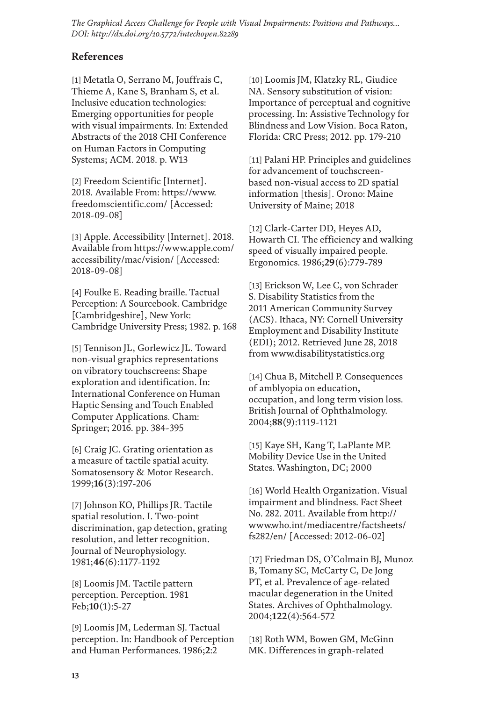# **References**

<span id="page-12-0"></span>[1] Metatla O, Serrano M, Jouffrais C, Thieme A, Kane S, Branham S, et al. Inclusive education technologies: Emerging opportunities for people with visual impairments. In: Extended Abstracts of the 2018 CHI Conference on Human Factors in Computing Systems; ACM. 2018. p. W13

<span id="page-12-1"></span>[2] Freedom Scientific [Internet]. 2018. Available From: [https://www.](https://www.freedomscientific.com/) [freedomscientific.com/](https://www.freedomscientific.com/) [Accessed: 2018-09-08]

<span id="page-12-2"></span>[3] Apple. Accessibility [Internet]. 2018. Available from [https://www.apple.com/](https://www.apple.com/accessibility/mac/vision/) [accessibility/mac/vision/](https://www.apple.com/accessibility/mac/vision/) [Accessed: 2018-09-08]

<span id="page-12-3"></span>[4] Foulke E. Reading braille. Tactual Perception: A Sourcebook. Cambridge [Cambridgeshire], New York: Cambridge University Press; 1982. p. 168

<span id="page-12-4"></span>[5] Tennison JL, Gorlewicz JL. Toward non-visual graphics representations on vibratory touchscreens: Shape exploration and identification. In: International Conference on Human Haptic Sensing and Touch Enabled Computer Applications. Cham: Springer; 2016. pp. 384-395

[6] Craig JC. Grating orientation as a measure of tactile spatial acuity. Somatosensory & Motor Research. 1999;**16**(3):197-206

[7] Johnson KO, Phillips JR. Tactile spatial resolution. I. Two-point discrimination, gap detection, grating resolution, and letter recognition. Journal of Neurophysiology. 1981;**46**(6):1177-1192

[8] Loomis JM. Tactile pattern perception. Perception. 1981 Feb;**10**(1):5-27

<span id="page-12-5"></span>[9] Loomis JM, Lederman SJ. Tactual perception. In: Handbook of Perception and Human Performances. 1986;**2**:2

<span id="page-12-6"></span>[10] Loomis JM, Klatzky RL, Giudice NA. Sensory substitution of vision: Importance of perceptual and cognitive processing. In: Assistive Technology for Blindness and Low Vision. Boca Raton, Florida: CRC Press; 2012. pp. 179-210

<span id="page-12-7"></span>[11] Palani HP. Principles and guidelines for advancement of touchscreenbased non-visual access to 2D spatial information [thesis]. Orono: Maine University of Maine; 2018

<span id="page-12-8"></span>[12] Clark-Carter DD, Heyes AD, Howarth CI. The efficiency and walking speed of visually impaired people. Ergonomics. 1986;**29**(6):779-789

<span id="page-12-9"></span>[13] Erickson W, Lee C, von Schrader S. Disability Statistics from the 2011 American Community Survey (ACS). Ithaca, NY: Cornell University Employment and Disability Institute (EDI); 2012. Retrieved June 28, 2018 from [www.disabilitystatistics.org](http://www.disabilitystatistics.org)

<span id="page-12-10"></span>[14] Chua B, Mitchell P. Consequences of amblyopia on education, occupation, and long term vision loss. British Journal of Ophthalmology. 2004;**88**(9):1119-1121

<span id="page-12-11"></span>[15] Kaye SH, Kang T, LaPlante MP. Mobility Device Use in the United States. Washington, DC; 2000

<span id="page-12-12"></span>[16] World Health Organization. Visual impairment and blindness. Fact Sheet No. 282. 2011. Available from [http://](http://www.who.int/mediacentre/factsheets/fs282/en/) [www.who.int/mediacentre/factsheets/](http://www.who.int/mediacentre/factsheets/fs282/en/) [fs282/en/](http://www.who.int/mediacentre/factsheets/fs282/en/) [Accessed: 2012-06-02]

<span id="page-12-13"></span>[17] Friedman DS, O'Colmain BJ, Munoz B, Tomany SC, McCarty C, De Jong PT, et al. Prevalence of age-related macular degeneration in the United States. Archives of Ophthalmology. 2004;**122**(4):564-572

<span id="page-12-14"></span>[18] Roth WM, Bowen GM, McGinn MK. Differences in graph-related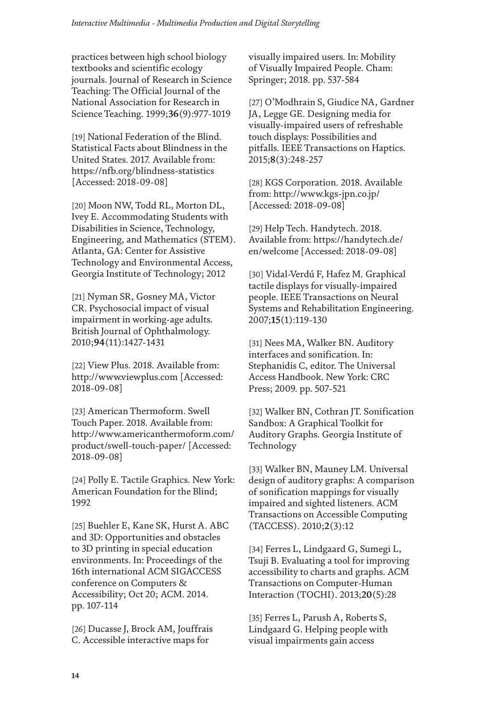practices between high school biology textbooks and scientific ecology journals. Journal of Research in Science Teaching: The Official Journal of the National Association for Research in Science Teaching. 1999;**36**(9):977-1019

<span id="page-13-0"></span>[19] National Federation of the Blind. Statistical Facts about Blindness in the United States. 2017. Available from: <https://nfb.org/blindness-statistics> [Accessed: 2018-09-08]

<span id="page-13-1"></span>[20] Moon NW, Todd RL, Morton DL, Ivey E. Accommodating Students with Disabilities in Science, Technology, Engineering, and Mathematics (STEM). Atlanta, GA: Center for Assistive Technology and Environmental Access, Georgia Institute of Technology; 2012

<span id="page-13-2"></span>[21] Nyman SR, Gosney MA, Victor CR. Psychosocial impact of visual impairment in working-age adults. British Journal of Ophthalmology. 2010;**94**(11):1427-1431

<span id="page-13-3"></span>[22] View Plus. 2018. Available from: <http://www.viewplus.com>[Accessed: 2018-09-08]

<span id="page-13-4"></span>[23] American Thermoform. Swell Touch Paper. 2018. Available from: [http://www.americanthermoform.com/](http://www.americanthermoform.com/product/swell-touch-paper/) [product/swell-touch-paper/](http://www.americanthermoform.com/product/swell-touch-paper/) [Accessed: 2018-09-08]

<span id="page-13-5"></span>[24] Polly E. Tactile Graphics. New York: American Foundation for the Blind; 1992

<span id="page-13-6"></span>[25] Buehler E, Kane SK, Hurst A. ABC and 3D: Opportunities and obstacles to 3D printing in special education environments. In: Proceedings of the 16th international ACM SIGACCESS conference on Computers & Accessibility; Oct 20; ACM. 2014. pp. 107-114

<span id="page-13-7"></span>[26] Ducasse J, Brock AM, Jouffrais C. Accessible interactive maps for

visually impaired users. In: Mobility of Visually Impaired People. Cham: Springer; 2018. pp. 537-584

<span id="page-13-8"></span>[27] O'Modhrain S, Giudice NA, Gardner JA, Legge GE. Designing media for visually-impaired users of refreshable touch displays: Possibilities and pitfalls. IEEE Transactions on Haptics. 2015;**8**(3):248-257

<span id="page-13-9"></span>[28] KGS Corporation. 2018. Available from:<http://www.kgs-jpn.co.jp/> [Accessed: 2018-09-08]

<span id="page-13-10"></span>[29] Help Tech. Handytech. 2018. Available from: [https://handytech.de/](https://handytech.de/en/welcome) [en/welcome](https://handytech.de/en/welcome) [Accessed: 2018-09-08]

<span id="page-13-11"></span>[30] Vidal-Verdú F, Hafez M. Graphical tactile displays for visually-impaired people. IEEE Transactions on Neural Systems and Rehabilitation Engineering. 2007;**15**(1):119-130

<span id="page-13-12"></span>[31] Nees MA, Walker BN. Auditory interfaces and sonification. In: Stephanidis C, editor. The Universal Access Handbook. New York: CRC Press; 2009. pp. 507-521

[32] Walker BN, Cothran JT. Sonification Sandbox: A Graphical Toolkit for Auditory Graphs. Georgia Institute of Technology

<span id="page-13-13"></span>[33] Walker BN, Mauney LM. Universal design of auditory graphs: A comparison of sonification mappings for visually impaired and sighted listeners. ACM Transactions on Accessible Computing (TACCESS). 2010;**2**(3):12

<span id="page-13-14"></span>[34] Ferres L, Lindgaard G, Sumegi L, Tsuji B. Evaluating a tool for improving accessibility to charts and graphs. ACM Transactions on Computer-Human Interaction (TOCHI). 2013;**20**(5):28

<span id="page-13-15"></span>[35] Ferres L, Parush A, Roberts S, Lindgaard G. Helping people with visual impairments gain access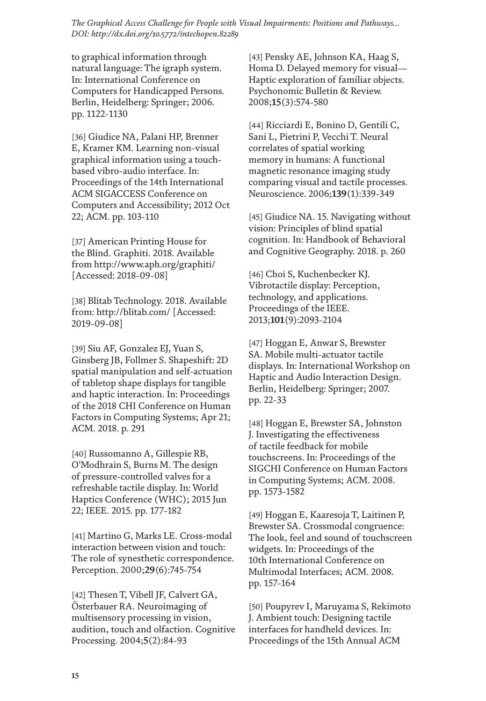to graphical information through natural language: The igraph system. In: International Conference on Computers for Handicapped Persons. Berlin, Heidelberg: Springer; 2006. pp. 1122-1130

<span id="page-14-0"></span>[36] Giudice NA, Palani HP, Brenner E, Kramer KM. Learning non-visual graphical information using a touchbased vibro-audio interface. In: Proceedings of the 14th International ACM SIGACCESS Conference on Computers and Accessibility; 2012 Oct 22; ACM. pp. 103-110

<span id="page-14-1"></span>[37] American Printing House for the Blind. Graphiti. 2018. Available from <http://www.aph.org/graphiti/> [Accessed: 2018-09-08]

<span id="page-14-2"></span>[38] Blitab Technology. 2018. Available from:<http://blitab.com/>[Accessed: 2019-09-08]

<span id="page-14-3"></span>[39] Siu AF, Gonzalez EJ, Yuan S, Ginsberg JB, Follmer S. Shapeshift: 2D spatial manipulation and self-actuation of tabletop shape displays for tangible and haptic interaction. In: Proceedings of the 2018 CHI Conference on Human Factors in Computing Systems; Apr 21; ACM. 2018. p. 291

<span id="page-14-4"></span>[40] Russomanno A, Gillespie RB, O'Modhrain S, Burns M. The design of pressure-controlled valves for a refreshable tactile display. In: World Haptics Conference (WHC); 2015 Jun 22; IEEE. 2015. pp. 177-182

<span id="page-14-5"></span>[41] Martino G, Marks LE. Cross-modal interaction between vision and touch: The role of synesthetic correspondence. Perception. 2000;**29**(6):745-754

<span id="page-14-6"></span>[42] Thesen T, Vibell JF, Calvert GA, Österbauer RA. Neuroimaging of multisensory processing in vision, audition, touch and olfaction. Cognitive Processing. 2004;**5**(2):84-93

<span id="page-14-7"></span>[43] Pensky AE, Johnson KA, Haag S, Homa D. Delayed memory for visual— Haptic exploration of familiar objects. Psychonomic Bulletin & Review. 2008;**15**(3):574-580

<span id="page-14-8"></span>[44] Ricciardi E, Bonino D, Gentili C, Sani L, Pietrini P, Vecchi T. Neural correlates of spatial working memory in humans: A functional magnetic resonance imaging study comparing visual and tactile processes. Neuroscience. 2006;**139**(1):339-349

<span id="page-14-9"></span>[45] Giudice NA. 15. Navigating without vision: Principles of blind spatial cognition. In: Handbook of Behavioral and Cognitive Geography. 2018. p. 260

<span id="page-14-10"></span>[46] Choi S, Kuchenbecker KJ. Vibrotactile display: Perception, technology, and applications. Proceedings of the IEEE. 2013;**101**(9):2093-2104

<span id="page-14-11"></span>[47] Hoggan E, Anwar S, Brewster SA. Mobile multi-actuator tactile displays. In: International Workshop on Haptic and Audio Interaction Design. Berlin, Heidelberg: Springer; 2007. pp. 22-33

[48] Hoggan E, Brewster SA, Johnston J. Investigating the effectiveness of tactile feedback for mobile touchscreens. In: Proceedings of the SIGCHI Conference on Human Factors in Computing Systems; ACM. 2008. pp. 1573-1582

<span id="page-14-12"></span>[49] Hoggan E, Kaaresoja T, Laitinen P, Brewster SA. Crossmodal congruence: The look, feel and sound of touchscreen widgets. In: Proceedings of the 10th International Conference on Multimodal Interfaces; ACM. 2008. pp. 157-164

<span id="page-14-13"></span>[50] Poupyrev I, Maruyama S, Rekimoto J. Ambient touch: Designing tactile interfaces for handheld devices. In: Proceedings of the 15th Annual ACM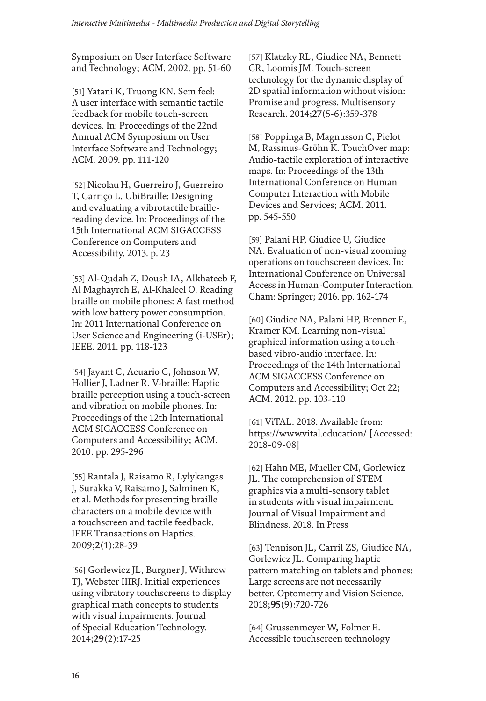Symposium on User Interface Software and Technology; ACM. 2002. pp. 51-60

<span id="page-15-0"></span>[51] Yatani K, Truong KN. Sem feel: A user interface with semantic tactile feedback for mobile touch-screen devices. In: Proceedings of the 22nd Annual ACM Symposium on User Interface Software and Technology; ACM. 2009. pp. 111-120

<span id="page-15-1"></span>[52] Nicolau H, Guerreiro J, Guerreiro T, Carriço L. UbiBraille: Designing and evaluating a vibrotactile braillereading device. In: Proceedings of the 15th International ACM SIGACCESS Conference on Computers and Accessibility. 2013. p. 23

[53] Al-Qudah Z, Doush IA, Alkhateeb F, Al Maghayreh E, Al-Khaleel O. Reading braille on mobile phones: A fast method with low battery power consumption. In: 2011 International Conference on User Science and Engineering (i-USEr); IEEE. 2011. pp. 118-123

[54] Jayant C, Acuario C, Johnson W, Hollier J, Ladner R. V-braille: Haptic braille perception using a touch-screen and vibration on mobile phones. In: Proceedings of the 12th International ACM SIGACCESS Conference on Computers and Accessibility; ACM. 2010. pp. 295-296

<span id="page-15-2"></span>[55] Rantala J, Raisamo R, Lylykangas J, Surakka V, Raisamo J, Salminen K, et al. Methods for presenting braille characters on a mobile device with a touchscreen and tactile feedback. IEEE Transactions on Haptics. 2009;**2**(1):28-39

<span id="page-15-3"></span>[56] Gorlewicz JL, Burgner J, Withrow TJ, Webster IIIRJ. Initial experiences using vibratory touchscreens to display graphical math concepts to students with visual impairments. Journal of Special Education Technology. 2014;**29**(2):17-25

<span id="page-15-4"></span>[57] Klatzky RL, Giudice NA, Bennett CR, Loomis JM. Touch-screen technology for the dynamic display of 2D spatial information without vision: Promise and progress. Multisensory Research. 2014;**27**(5-6):359-378

<span id="page-15-5"></span>[58] Poppinga B, Magnusson C, Pielot M, Rassmus-Gröhn K. TouchOver map: Audio-tactile exploration of interactive maps. In: Proceedings of the 13th International Conference on Human Computer Interaction with Mobile Devices and Services; ACM. 2011. pp. 545-550

<span id="page-15-6"></span>[59] Palani HP, Giudice U, Giudice NA. Evaluation of non-visual zooming operations on touchscreen devices. In: International Conference on Universal Access in Human-Computer Interaction. Cham: Springer; 2016. pp. 162-174

<span id="page-15-7"></span>[60] Giudice NA, Palani HP, Brenner E, Kramer KM. Learning non-visual graphical information using a touchbased vibro-audio interface. In: Proceedings of the 14th International ACM SIGACCESS Conference on Computers and Accessibility; Oct 22; ACM. 2012. pp. 103-110

<span id="page-15-8"></span>[61] ViTAL. 2018. Available from: <https://www.vital.education/> [Accessed: 2018-09-08]

<span id="page-15-9"></span>[62] Hahn ME, Mueller CM, Gorlewicz JL. The comprehension of STEM graphics via a multi-sensory tablet in students with visual impairment. Journal of Visual Impairment and Blindness. 2018. In Press

<span id="page-15-10"></span>[63] Tennison JL, Carril ZS, Giudice NA, Gorlewicz JL. Comparing haptic pattern matching on tablets and phones: Large screens are not necessarily better. Optometry and Vision Science. 2018;**95**(9):720-726

<span id="page-15-11"></span>[64] Grussenmeyer W, Folmer E. Accessible touchscreen technology